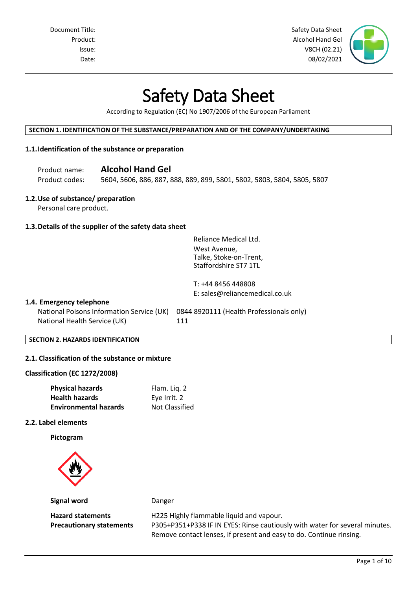Document Title: Safety Data Sheet Number of Safety Data Sheet Number of Safety Data Sheet Number of Safety Data Sheet Product: Alcohol Hand Gel Issue: V8CH (02.21) Date: 08/02/2021

# Safety Data Sheet

According to Regulation (EC) No 1907/2006 of the European Parliament

#### **SECTION 1. IDENTIFICATION OF THE SUBSTANCE/PREPARATION AND OF THE COMPANY/UNDERTAKING**

# **1.1.Identification of the substance or preparation**

Product name: **Alcohol Hand Gel**

Product codes: 5604, 5606, 886, 887, 888, 889, 899, 5801, 5802, 5803, 5804, 5805, 5807

# **1.2.Use of substance/ preparation**

Personal care product.

# **1.3.Details of the supplier of the safety data sheet**

Reliance Medical Ltd. West Avenue, Talke, Stoke-on-Trent, Staffordshire ST7 1TL

T: +44 8456 448808 E: sales@reliancemedical.co.uk

#### **1.4. Emergency telephone**

National Poisons Information Service (UK) 0844 8920111 (Health Professionals only) National Health Service (UK) 111

**SECTION 2. HAZARDS IDENTIFICATION**

# **2.1. Classification of the substance or mixture**

#### **Classification (EC 1272/2008)**

| <b>Physical hazards</b>      | Flam. Liq. 2          |
|------------------------------|-----------------------|
| <b>Health hazards</b>        | Eye Irrit. 2          |
| <b>Environmental hazards</b> | <b>Not Classified</b> |

#### **2.2. Label elements**

**Pictogram**



**Signal word** Danger

**Hazard statements** H225 Highly flammable liquid and vapour.

**Precautionary statements** P305+P351+P338 IF IN EYES: Rinse cautiously with water for several minutes. Remove contact lenses, if present and easy to do. Continue rinsing.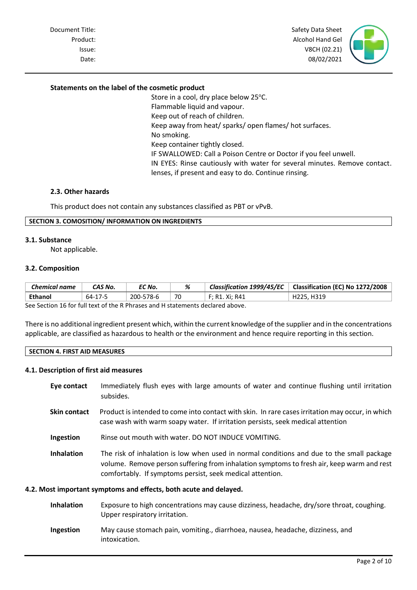Document Title: Safety Data Sheet Number of Safety Data Sheet Number of Safety Data Sheet Number of Safety Data Sheet Product: Alcohol Hand Gel and Gel and Gel and Gel and Gel and Gel and Gel and Gel and Gel and Gel and Gel and Gel and Gel and Gel and Gel and Gel and Gel and Gel and Gel and Gel and Gel and Gel and Gel and Gel and Gel and Issue: V8CH (02.21) Date: 08/02/2021

#### **Statements on the label of the cosmetic product**

Store in a cool, dry place below  $25^{\circ}$ C. Flammable liquid and vapour. Keep out of reach of children. Keep away from heat/ sparks/ open flames/ hot surfaces. No smoking. Keep container tightly closed. IF SWALLOWED: Call a Poison Centre or Doctor if you feel unwell. IN EYES: Rinse cautiously with water for several minutes. Remove contact. lenses, if present and easy to do. Continue rinsing.

#### **2.3. Other hazards**

This product does not contain any substances classified as PBT or vPvB.

# **SECTION 3. COMOSITION/ INFORMATION ON INGREDIENTS**

#### **3.1. Substance**

Not applicable.

#### **3.2. Composition**

| <b>Chemical name</b>                                                          | CAS No. | EC No.    | %  |                | Classification 1999/45/EC   Classification (EC) No 1272/2008 |
|-------------------------------------------------------------------------------|---------|-----------|----|----------------|--------------------------------------------------------------|
| Ethanol                                                                       | 64-17-5 | 200-578-6 | 70 | F; R1. Xi; R41 | H225, H319                                                   |
| See Section 16 for full tout of the B Bhrases and H statements declared above |         |           |    |                |                                                              |

See Section 16 for full text of the R Phrases and H statements declared above.

There is no additional ingredient present which, within the current knowledge of the supplier and in the concentrations applicable, are classified as hazardous to health or the environment and hence require reporting in this section.

#### **SECTION 4. FIRST AID MEASURES**

#### **4.1. Description of first aid measures**

- **Eye contact** Immediately flush eyes with large amounts of water and continue flushing until irritation subsides.
- **Skin contact** Product is intended to come into contact with skin. In rare cases irritation may occur, in which case wash with warm soapy water. If irritation persists, seek medical attention
- **Ingestion** Rinse out mouth with water. DO NOT INDUCE VOMITING.
- **Inhalation** The risk of inhalation is low when used in normal conditions and due to the small package volume. Remove person suffering from inhalation symptoms to fresh air, keep warm and rest comfortably. If symptoms persist, seek medical attention.

#### **4.2. Most important symptoms and effects, both acute and delayed.**

- **Inhalation** Exposure to high concentrations may cause dizziness, headache, dry/sore throat, coughing. Upper respiratory irritation.
- **Ingestion** May cause stomach pain, vomiting., diarrhoea, nausea, headache, dizziness, and intoxication.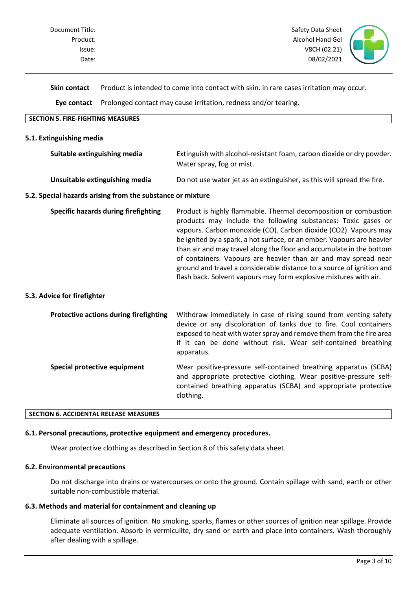

**Skin contact** Product is intended to come into contact with skin. in rare cases irritation may occur.

**Eye contact** Prolonged contact may cause irritation, redness and/or tearing.

# **SECTION 5. FIRE-FIGHTING MEASURES**

#### **5.1. Extinguishing media**

| Suitable extinguishing media   | Extinguish with alcohol-resistant foam, carbon dioxide or dry powder.  |  |
|--------------------------------|------------------------------------------------------------------------|--|
|                                | Water spray, fog or mist.                                              |  |
| Unsuitable extinguishing media | Do not use water jet as an extinguisher, as this will spread the fire. |  |

#### **5.2. Special hazards arising from the substance or mixture**

| Specific hazards during firefighting | Product is highly flammable. Thermal decomposition or combustion       |  |  |
|--------------------------------------|------------------------------------------------------------------------|--|--|
|                                      | products may include the following substances: Toxic gases or          |  |  |
|                                      | vapours. Carbon monoxide (CO). Carbon dioxide (CO2). Vapours may       |  |  |
|                                      | be ignited by a spark, a hot surface, or an ember. Vapours are heavier |  |  |
|                                      | than air and may travel along the floor and accumulate in the bottom   |  |  |
|                                      | of containers. Vapours are heavier than air and may spread near        |  |  |
|                                      | ground and travel a considerable distance to a source of ignition and  |  |  |
|                                      | flash back. Solvent vapours may form explosive mixtures with air.      |  |  |

# **5.3. Advice for firefighter**

| <b>Protective actions during firefighting</b> | Withdraw immediately in case of rising sound from venting safety<br>device or any discoloration of tanks due to fire. Cool containers<br>exposed to heat with water spray and remove them from the fire area<br>if it can be done without risk. Wear self-contained breathing<br>apparatus. |
|-----------------------------------------------|---------------------------------------------------------------------------------------------------------------------------------------------------------------------------------------------------------------------------------------------------------------------------------------------|
| Special protective equipment                  | Wear positive-pressure self-contained breathing apparatus (SCBA)<br>and appropriate protective clothing. Wear positive-pressure self-<br>contained breathing apparatus (SCBA) and appropriate protective<br>clothing.                                                                       |

## **SECTION 6. ACCIDENTAL RELEASE MEASURES**

# **6.1. Personal precautions, protective equipment and emergency procedures.**

Wear protective clothing as described in Section 8 of this safety data sheet.

# **6.2. Environmental precautions**

Do not discharge into drains or watercourses or onto the ground. Contain spillage with sand, earth or other suitable non-combustible material.

## **6.3. Methods and material for containment and cleaning up**

Eliminate all sources of ignition. No smoking, sparks, flames or other sources of ignition near spillage. Provide adequate ventilation. Absorb in vermiculite, dry sand or earth and place into containers. Wash thoroughly after dealing with a spillage.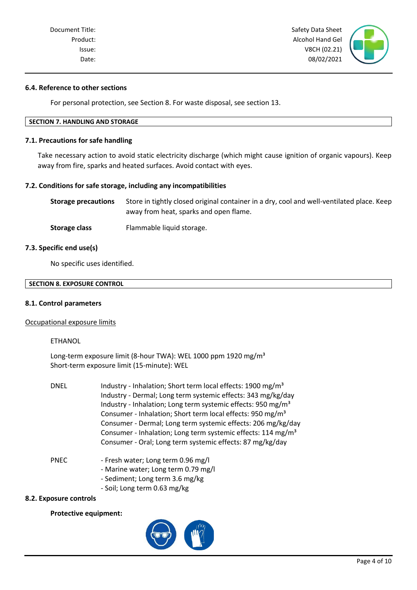Document Title: Safety Data Sheet Nicolas Assets Assets Assets Assets Assets Assets Assets Assets Assets Assets Assets Assets Assets Assets Assets Assets Assets Assets Assets Assets Assets Assets Assets Assets Assets Asset Product: Alcohol Hand Gel and Gel and Gel and Gel and Gel and Gel and Gel and Gel and Gel and Gel and Gel and Gel and Gel and Gel and Gel and Gel and Gel and Gel and Gel and Gel and Gel and Gel and Gel and Gel and Gel and Issue: V8CH (02.21) Date: 08/02/2021

# **6.4. Reference to other sections**

For personal protection, see Section 8. For waste disposal, see section 13.

# **SECTION 7. HANDLING AND STORAGE**

#### **7.1. Precautions for safe handling**

Take necessary action to avoid static electricity discharge (which might cause ignition of organic vapours). Keep away from fire, sparks and heated surfaces. Avoid contact with eyes.

# **7.2. Conditions for safe storage, including any incompatibilities**

| Storage precautions | Store in tightly closed original container in a dry, cool and well-ventilated place. Keep |
|---------------------|-------------------------------------------------------------------------------------------|
|                     | away from heat, sparks and open flame.                                                    |

**Storage class** Flammable liquid storage.

#### **7.3. Specific end use(s)**

No specific uses identified.

| <b>SECTION 8. EXPOSURE CONTROL</b> |  |
|------------------------------------|--|
|                                    |  |

# **8.1. Control parameters**

#### Occupational exposure limits

# ETHANOL

Long-term exposure limit (8-hour TWA): WEL 1000 ppm 1920 mg/m<sup>3</sup> Short-term exposure limit (15-minute): WEL

| <b>DNEL</b> | Industry - Inhalation; Short term local effects: 1900 mg/m <sup>3</sup><br>Industry - Dermal; Long term systemic effects: 343 mg/kg/day<br>Industry - Inhalation; Long term systemic effects: 950 mg/m <sup>3</sup><br>Consumer - Inhalation; Short term local effects: 950 mg/m <sup>3</sup><br>Consumer - Dermal; Long term systemic effects: 206 mg/kg/day<br>Consumer - Inhalation; Long term systemic effects: 114 mg/m <sup>3</sup><br>Consumer - Oral; Long term systemic effects: 87 mg/kg/day |
|-------------|--------------------------------------------------------------------------------------------------------------------------------------------------------------------------------------------------------------------------------------------------------------------------------------------------------------------------------------------------------------------------------------------------------------------------------------------------------------------------------------------------------|
| <b>PNEC</b> | - Fresh water; Long term 0.96 mg/l                                                                                                                                                                                                                                                                                                                                                                                                                                                                     |

- Marine water; Long term 0.79 mg/l
- Sediment; Long term 3.6 mg/kg
- Soil; Long term 0.63 mg/kg

# **8.2. Exposure controls**

#### **Protective equipment:**

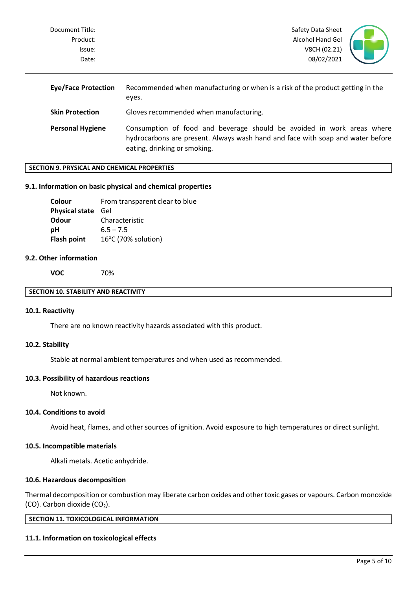| Document Title: | Safety Data Sheet |  |
|-----------------|-------------------|--|
| Product:        | Alcohol Hand Gel  |  |
| lssue:          | V8CH (02.21)      |  |
| Date:           | 08/02/2021        |  |
|                 |                   |  |

| <b>Eye/Face Protection</b> | Recommended when manufacturing or when is a risk of the product getting in the<br>eyes.                                                                                                  |  |
|----------------------------|------------------------------------------------------------------------------------------------------------------------------------------------------------------------------------------|--|
| <b>Skin Protection</b>     | Gloves recommended when manufacturing.                                                                                                                                                   |  |
| <b>Personal Hygiene</b>    | Consumption of food and beverage should be avoided in work areas where<br>hydrocarbons are present. Always wash hand and face with soap and water before<br>eating, drinking or smoking. |  |

# **SECTION 9. PRYSICAL AND CHEMICAL PROPERTIES**

#### **9.1. Information on basic physical and chemical properties**

| Colour                    | From transparent clear to blue |
|---------------------------|--------------------------------|
| <b>Physical state</b> Gel |                                |
| Odour                     | Characteristic                 |
| рH                        | $6.5 - 7.5$                    |
| Flash point               | 16°C (70% solution)            |

#### **9.2. Other information**

**VOC** 70%

## **SECTION 10. STABILITY AND REACTIVITY**

# **10.1. Reactivity**

There are no known reactivity hazards associated with this product.

#### **10.2. Stability**

Stable at normal ambient temperatures and when used as recommended.

## **10.3. Possibility of hazardous reactions**

Not known.

# **10.4. Conditions to avoid**

Avoid heat, flames, and other sources of ignition. Avoid exposure to high temperatures or direct sunlight.

#### **10.5. Incompatible materials**

Alkali metals. Acetic anhydride.

# **10.6. Hazardous decomposition**

Thermal decomposition or combustion may liberate carbon oxides and other toxic gases or vapours. Carbon monoxide (CO). Carbon dioxide  $(CO<sub>2</sub>)$ .

**SECTION 11. TOXICOLOGICAL INFORMATION**

#### **11.1. Information on toxicological effects**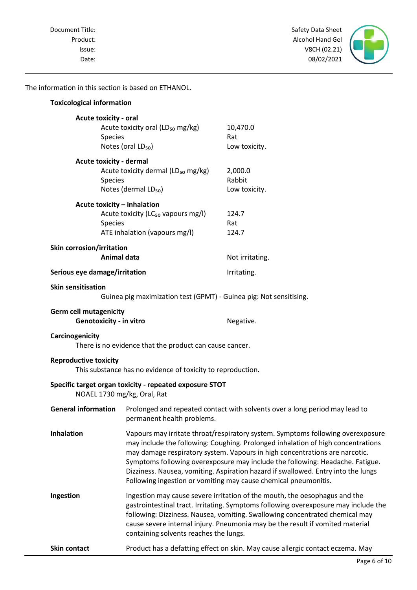Product: Alcohol Hand Gel Issue: V8CH (02.21) Date: 08/02/2021



The information in this section is based on ETHANOL.

| <b>Toxicological information</b>                                |                                                                                                                                                                                                                                                                                                                                                                                                                                                                                             |                                    |
|-----------------------------------------------------------------|---------------------------------------------------------------------------------------------------------------------------------------------------------------------------------------------------------------------------------------------------------------------------------------------------------------------------------------------------------------------------------------------------------------------------------------------------------------------------------------------|------------------------------------|
| <b>Acute toxicity - oral</b><br>Species                         | Acute toxicity oral (LD <sub>50</sub> mg/kg)<br>Notes (oral LD <sub>50</sub> )                                                                                                                                                                                                                                                                                                                                                                                                              | 10,470.0<br>Rat<br>Low toxicity.   |
| Acute toxicity - dermal<br><b>Species</b>                       | Acute toxicity dermal (LD <sub>50</sub> mg/kg)<br>Notes (dermal LD <sub>50</sub> )                                                                                                                                                                                                                                                                                                                                                                                                          | 2,000.0<br>Rabbit<br>Low toxicity. |
| Acute toxicity - inhalation<br>Species                          | Acute toxicity (LC <sub>50</sub> vapours mg/l)<br>ATE inhalation (vapours mg/l)                                                                                                                                                                                                                                                                                                                                                                                                             | 124.7<br>Rat<br>124.7              |
| Skin corrosion/irritation                                       | <b>Animal data</b>                                                                                                                                                                                                                                                                                                                                                                                                                                                                          | Not irritating.                    |
| Serious eye damage/irritation                                   |                                                                                                                                                                                                                                                                                                                                                                                                                                                                                             | Irritating.                        |
| <b>Skin sensitisation</b>                                       | Guinea pig maximization test (GPMT) - Guinea pig: Not sensitising.                                                                                                                                                                                                                                                                                                                                                                                                                          |                                    |
| <b>Germ cell mutagenicity</b><br><b>Genotoxicity - in vitro</b> |                                                                                                                                                                                                                                                                                                                                                                                                                                                                                             | Negative.                          |
| Carcinogenicity                                                 | There is no evidence that the product can cause cancer.                                                                                                                                                                                                                                                                                                                                                                                                                                     |                                    |
| <b>Reproductive toxicity</b>                                    | This substance has no evidence of toxicity to reproduction.                                                                                                                                                                                                                                                                                                                                                                                                                                 |                                    |
|                                                                 | Specific target organ toxicity - repeated exposure STOT<br>NOAEL 1730 mg/kg, Oral, Rat                                                                                                                                                                                                                                                                                                                                                                                                      |                                    |
|                                                                 | General information Prolonged and repeated contact with solvents over a long period may lead to<br>permanent health problems.                                                                                                                                                                                                                                                                                                                                                               |                                    |
| Inhalation                                                      | Vapours may irritate throat/respiratory system. Symptoms following overexposure<br>may include the following: Coughing. Prolonged inhalation of high concentrations<br>may damage respiratory system. Vapours in high concentrations are narcotic.<br>Symptoms following overexposure may include the following: Headache. Fatigue.<br>Dizziness. Nausea, vomiting. Aspiration hazard if swallowed. Entry into the lungs<br>Following ingestion or vomiting may cause chemical pneumonitis. |                                    |
| Ingestion                                                       | Ingestion may cause severe irritation of the mouth, the oesophagus and the<br>gastrointestinal tract. Irritating. Symptoms following overexposure may include the<br>following: Dizziness. Nausea, vomiting. Swallowing concentrated chemical may<br>cause severe internal injury. Pneumonia may be the result if vomited material<br>containing solvents reaches the lungs.                                                                                                                |                                    |
| <b>Skin contact</b>                                             | Product has a defatting effect on skin. May cause allergic contact eczema. May                                                                                                                                                                                                                                                                                                                                                                                                              |                                    |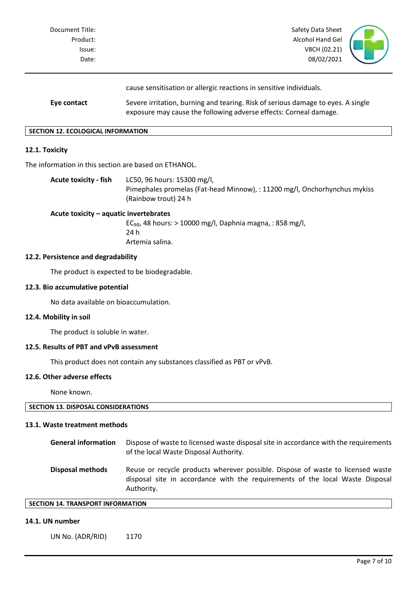| Document Title:<br>Product:<br>Issue:<br>Date: | Safety Data Sheet<br>Alcohol Hand Gel<br>V8CH (02.21)<br>08/02/2021                                                                                                                                                          |  |
|------------------------------------------------|------------------------------------------------------------------------------------------------------------------------------------------------------------------------------------------------------------------------------|--|
| Eye contact                                    | cause sensitisation or allergic reactions in sensitive individuals.<br>Severe irritation, burning and tearing. Risk of serious damage to eyes. A single<br>exposure may cause the following adverse effects: Corneal damage. |  |

#### **SECTION 12. ECOLOGICAL INFORMATION**

# **12.1. Toxicity**

The information in this section are based on ETHANOL.

**Acute toxicity - fish** LC50, 96 hours: 15300 mg/l, Pimephales promelas (Fat-head Minnow), : 11200 mg/l, Onchorhynchus mykiss (Rainbow trout) 24 h

# **Acute toxicity – aquatic invertebrates**

EC<sub>50</sub>, 48 hours:  $> 10000$  mg/l, Daphnia magna, : 858 mg/l, 24 h Artemia salina.

# **12.2. Persistence and degradability**

The product is expected to be biodegradable.

# **12.3. Bio accumulative potential**

No data available on bioaccumulation.

#### **12.4. Mobility in soil**

The product is soluble in water.

# **12.5. Results of PBT and vPvB assessment**

This product does not contain any substances classified as PBT or vPvB.

# **12.6. Other adverse effects**

None known.

| SECTION 13. DISPOSAL CONSIDERATIONS |
|-------------------------------------|
|-------------------------------------|

#### **13.1. Waste treatment methods**

| <b>General information</b> | Dispose of waste to licensed waste disposal site in accordance with the requirements<br>of the local Waste Disposal Authority.                                                 |
|----------------------------|--------------------------------------------------------------------------------------------------------------------------------------------------------------------------------|
| <b>Disposal methods</b>    | Reuse or recycle products wherever possible. Dispose of waste to licensed waste<br>disposal site in accordance with the requirements of the local Waste Disposal<br>Authority. |

# **SECTION 14. TRANSPORT INFORMATION**

## **14.1. UN number**

UN No. (ADR/RID) 1170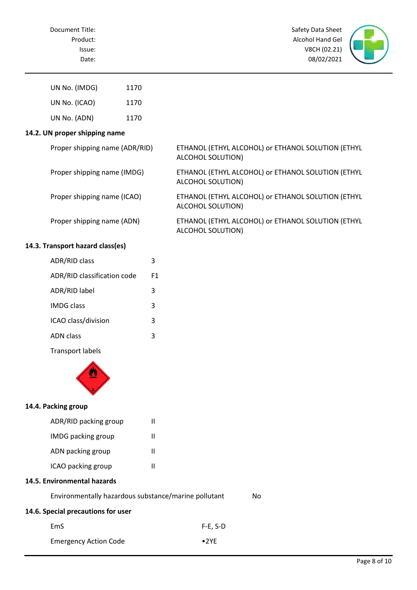

| UN No. (IMDG) | 1170 |
|---------------|------|
| UN No. (ICAO) | 1170 |
| UN No. (ADN)  | 1170 |

# **14.2. UN proper shipping name**

| Proper shipping name (ADR/RID) | ETHANOL (ETHYL ALCOHOL) or ETHANOL SOLUTION (ETHYL<br>ALCOHOL SOLUTION) |
|--------------------------------|-------------------------------------------------------------------------|
| Proper shipping name (IMDG)    | ETHANOL (ETHYL ALCOHOL) or ETHANOL SOLUTION (ETHYL<br>ALCOHOL SOLUTION) |
| Proper shipping name (ICAO)    | ETHANOL (ETHYL ALCOHOL) or ETHANOL SOLUTION (ETHYL<br>ALCOHOL SOLUTION) |
| Proper shipping name (ADN)     | ETHANOL (ETHYL ALCOHOL) or ETHANOL SOLUTION (ETHYL                      |

ALCOHOL SOLUTION)

# **14.3. Transport hazard class(es)**

| <b>ADR/RID class</b>        |    |
|-----------------------------|----|
| ADR/RID classification code | F1 |
| ADR/RID label               | 3  |
| <b>IMDG class</b>           | 3  |
| ICAO class/division         | 3  |
| ADN class                   | з  |
|                             |    |

Transport labels



# **14.4. Packing group**

| ADR/RID packing group     | Ш |
|---------------------------|---|
| <b>IMDG</b> packing group | н |
| ADN packing group         | н |
| ICAO packing group        | н |

# **14.5. Environmental hazards**

| Environmentally hazardous substance/marine pollutant |                | No |
|------------------------------------------------------|----------------|----|
| 14.6. Special precautions for user                   |                |    |
| EmS                                                  | $F-E. S-D$     |    |
| <b>Emergency Action Code</b>                         | $\bullet$ 2 YF |    |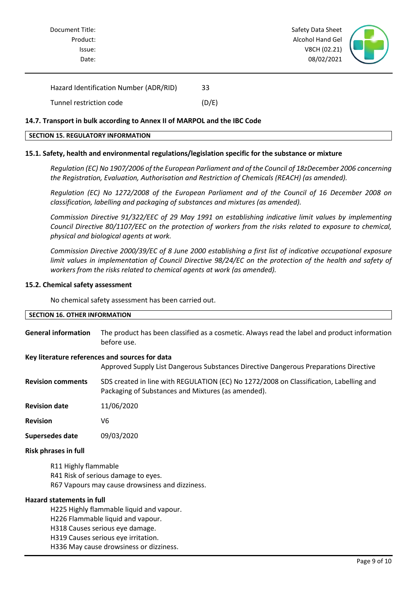

| Hazard Identification Number (ADR/RID) | 33    |
|----------------------------------------|-------|
| Tunnel restriction code                | (D/E) |

# **14.7. Transport in bulk according to Annex II of MARPOL and the IBC Code**

#### **SECTION 15. REGULATORY INFORMATION**

# **15.1. Safety, health and environmental regulations/legislation specific for the substance or mixture**

*Regulation (EC) No 1907/2006 of the European Parliament and of the Council of 18zDecember 2006 concerning the Registration, Evaluation, Authorisation and Restriction of Chemicals (REACH) (as amended).*

*Regulation (EC) No 1272/2008 of the European Parliament and of the Council of 16 December 2008 on classification, labelling and packaging of substances and mixtures (as amended).*

*Commission Directive 91/322/EEC of 29 May 1991 on establishing indicative limit values by implementing Council Directive 80/1107/EEC on the protection of workers from the risks related to exposure to chemical, physical and biological agents at work.*

*Commission Directive 2000/39/EC of 8 June 2000 establishing a first list of indicative occupational exposure limit values in implementation of Council Directive 98/24/EC on the protection of the health and safety of workers from the risks related to chemical agents at work (as amended).*

#### **15.2. Chemical safety assessment**

No chemical safety assessment has been carried out.

| <b>SECTION 16. OTHER INFORMATION</b> |                                                                                              |
|--------------------------------------|----------------------------------------------------------------------------------------------|
|                                      |                                                                                              |
| <b>General information</b>           | The product has been classified as a cosmetic. Always read the label and product information |

#### **Key literature references and sources for data**

before use.

Approved Supply List Dangerous Substances Directive Dangerous Preparations Directive

**Revision comments** SDS created in line with REGULATION (EC) No 1272/2008 on Classification, Labelling and Packaging of Substances and Mixtures (as amended).

**Revision date** 11/06/2020

**Revision** V6

**Supersedes date** 09/03/2020

#### **Risk phrases in full**

R11 Highly flammable R41 Risk of serious damage to eyes. R67 Vapours may cause drowsiness and dizziness.

#### **Hazard statements in full**

H225 Highly flammable liquid and vapour.

H226 Flammable liquid and vapour.

H318 Causes serious eye damage.

H319 Causes serious eye irritation.

H336 May cause drowsiness or dizziness.